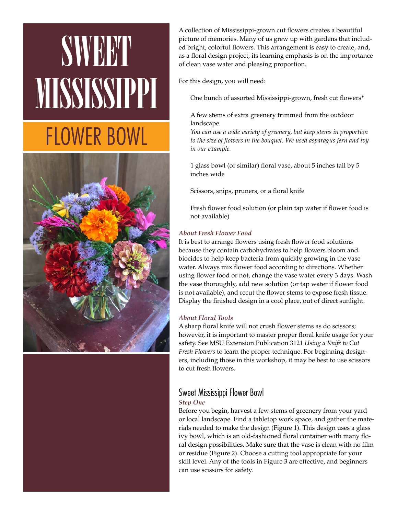# SWEET MISSISSIPPI FLOWER BOWL



A collection of Mississippi-grown cut flowers creates a beautiful picture of memories. Many of us grew up with gardens that included bright, colorful flowers. This arrangement is easy to create, and, as a floral design project, its learning emphasis is on the importance of clean vase water and pleasing proportion.

For this design, you will need:

One bunch of assorted Mississippi-grown, fresh cut flowers\*

# A few stems of extra greenery trimmed from the outdoor landscape

*You can use a wide variety of greenery, but keep stems in proportion to the size of flowers in the bouquet. We used asparagus fern and ivy in our example.* 

1 glass bowl (or similar) floral vase, about 5 inches tall by 5 inches wide

Scissors, snips, pruners, or a floral knife

Fresh flower food solution (or plain tap water if flower food is not available)

# *About Fresh Flower Food*

It is best to arrange flowers using fresh flower food solutions because they contain carbohydrates to help flowers bloom and biocides to help keep bacteria from quickly growing in the vase water. Always mix flower food according to directions. Whether using flower food or not, change the vase water every 3 days. Wash the vase thoroughly, add new solution (or tap water if flower food is not available), and recut the flower stems to expose fresh tissue. Display the finished design in a cool place, out of direct sunlight.

# *About Floral Tools*

A sharp floral knife will not crush flower stems as do scissors; however, it is important to master proper floral knife usage for your safety. See MSU Extension Publication 3121 *Using a Knife to Cut Fresh Flowers* to learn the proper technique. For beginning designers, including those in this workshop, it may be best to use scissors to cut fresh flowers.

# Sweet Mississippi Flower Bowl

# *Step One*

Before you begin, harvest a few stems of greenery from your yard or local landscape. Find a tabletop work space, and gather the materials needed to make the design (Figure 1). This design uses a glass ivy bowl, which is an old-fashioned floral container with many floral design possibilities. Make sure that the vase is clean with no film or residue (Figure 2). Choose a cutting tool appropriate for your skill level. Any of the tools in Figure 3 are effective, and beginners can use scissors for safety.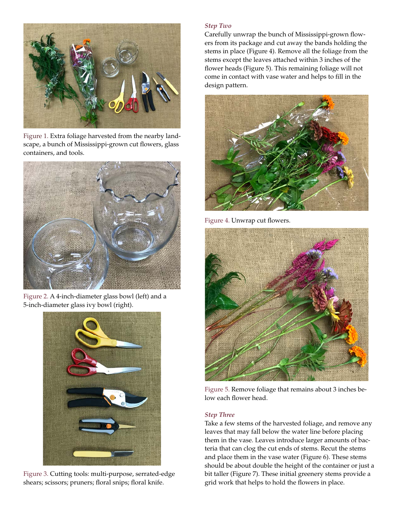

Figure 1. Extra foliage harvested from the nearby landscape, a bunch of Mississippi-grown cut flowers, glass containers, and tools.



Figure 2. A 4-inch-diameter glass bowl (left) and a 5-inch-diameter glass ivy bowl (right).



Figure 3. Cutting tools: multi-purpose, serrated-edge shears; scissors; pruners; floral snips; floral knife.

#### *Step Two*

Carefully unwrap the bunch of Mississippi-grown flowers from its package and cut away the bands holding the stems in place (Figure 4). Remove all the foliage from the stems except the leaves attached within 3 inches of the flower heads (Figure 5). This remaining foliage will not come in contact with vase water and helps to fill in the design pattern.



Figure 4. Unwrap cut flowers.



Figure 5. Remove foliage that remains about 3 inches below each flower head.

#### *Step Three*

Take a few stems of the harvested foliage, and remove any leaves that may fall below the water line before placing them in the vase. Leaves introduce larger amounts of bacteria that can clog the cut ends of stems. Recut the stems and place them in the vase water (Figure 6). These stems should be about double the height of the container or just a bit taller (Figure 7). These initial greenery stems provide a grid work that helps to hold the flowers in place.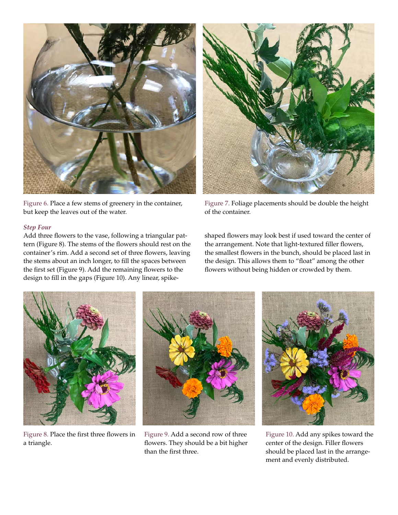

Figure 6. Place a few stems of greenery in the container, but keep the leaves out of the water.

#### *Step Four*

Add three flowers to the vase, following a triangular pattern (Figure 8). The stems of the flowers should rest on the container's rim. Add a second set of three flowers, leaving the stems about an inch longer, to fill the spaces between the first set (Figure 9). Add the remaining flowers to the design to fill in the gaps (Figure 10). Any linear, spike-



Figure 7. Foliage placements should be double the height of the container.

shaped flowers may look best if used toward the center of the arrangement. Note that light-textured filler flowers, the smallest flowers in the bunch, should be placed last in the design. This allows them to "float" among the other flowers without being hidden or crowded by them.



Figure 8. Place the first three flowers in a triangle.



Figure 9. Add a second row of three flowers. They should be a bit higher than the first three.



Figure 10. Add any spikes toward the center of the design. Filler flowers should be placed last in the arrangement and evenly distributed.